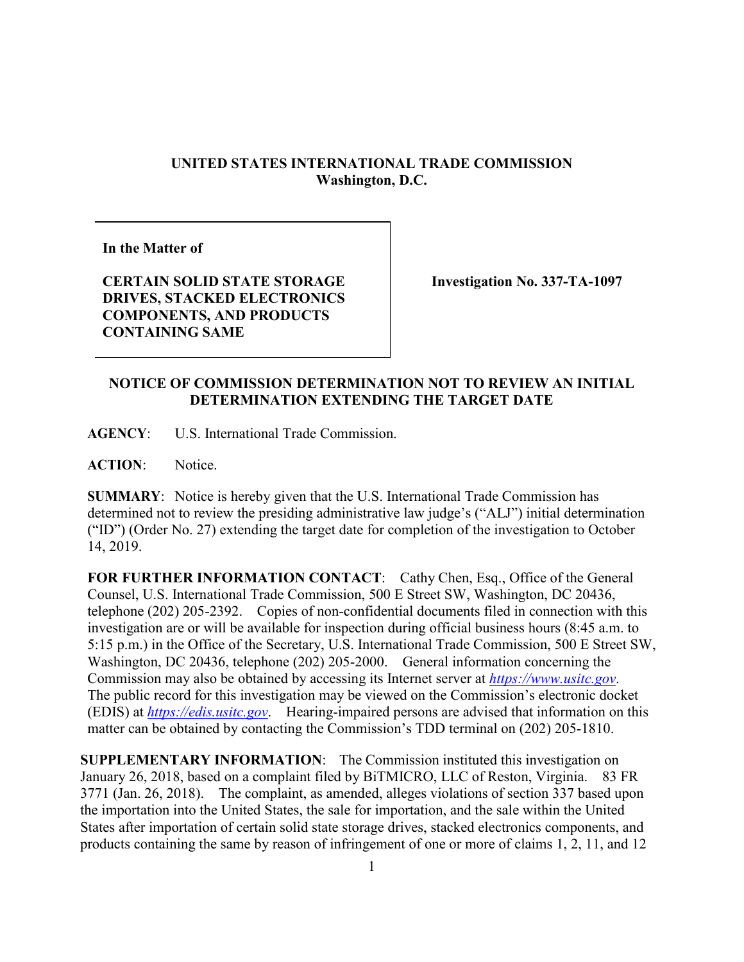## **UNITED STATES INTERNATIONAL TRADE COMMISSION Washington, D.C.**

**In the Matter of**

**CERTAIN SOLID STATE STORAGE DRIVES, STACKED ELECTRONICS COMPONENTS, AND PRODUCTS CONTAINING SAME**

**Investigation No. 337-TA-1097**

## **NOTICE OF COMMISSION DETERMINATION NOT TO REVIEW AN INITIAL DETERMINATION EXTENDING THE TARGET DATE**

**AGENCY**: U.S. International Trade Commission.

**ACTION**: Notice.

**SUMMARY**: Notice is hereby given that the U.S. International Trade Commission has determined not to review the presiding administrative law judge's ("ALJ") initial determination ("ID") (Order No. 27) extending the target date for completion of the investigation to October 14, 2019.

**FOR FURTHER INFORMATION CONTACT**: Cathy Chen, Esq., Office of the General Counsel, U.S. International Trade Commission, 500 E Street SW, Washington, DC 20436, telephone (202) 205-2392. Copies of non-confidential documents filed in connection with this investigation are or will be available for inspection during official business hours (8:45 a.m. to 5:15 p.m.) in the Office of the Secretary, U.S. International Trade Commission, 500 E Street SW, Washington, DC 20436, telephone (202) 205-2000. General information concerning the Commission may also be obtained by accessing its Internet server at *[https://www.usitc.gov](https://www.usitc.gov/)*. The public record for this investigation may be viewed on the Commission's electronic docket (EDIS) at *[https://edis.usitc.gov](https://edis.usitc.gov/)*. Hearing-impaired persons are advised that information on this matter can be obtained by contacting the Commission's TDD terminal on (202) 205-1810.

**SUPPLEMENTARY INFORMATION**: The Commission instituted this investigation on January 26, 2018, based on a complaint filed by BiTMICRO, LLC of Reston, Virginia. 83 FR 3771 (Jan. 26, 2018). The complaint, as amended, alleges violations of section 337 based upon the importation into the United States, the sale for importation, and the sale within the United States after importation of certain solid state storage drives, stacked electronics components, and products containing the same by reason of infringement of one or more of claims 1, 2, 11, and 12